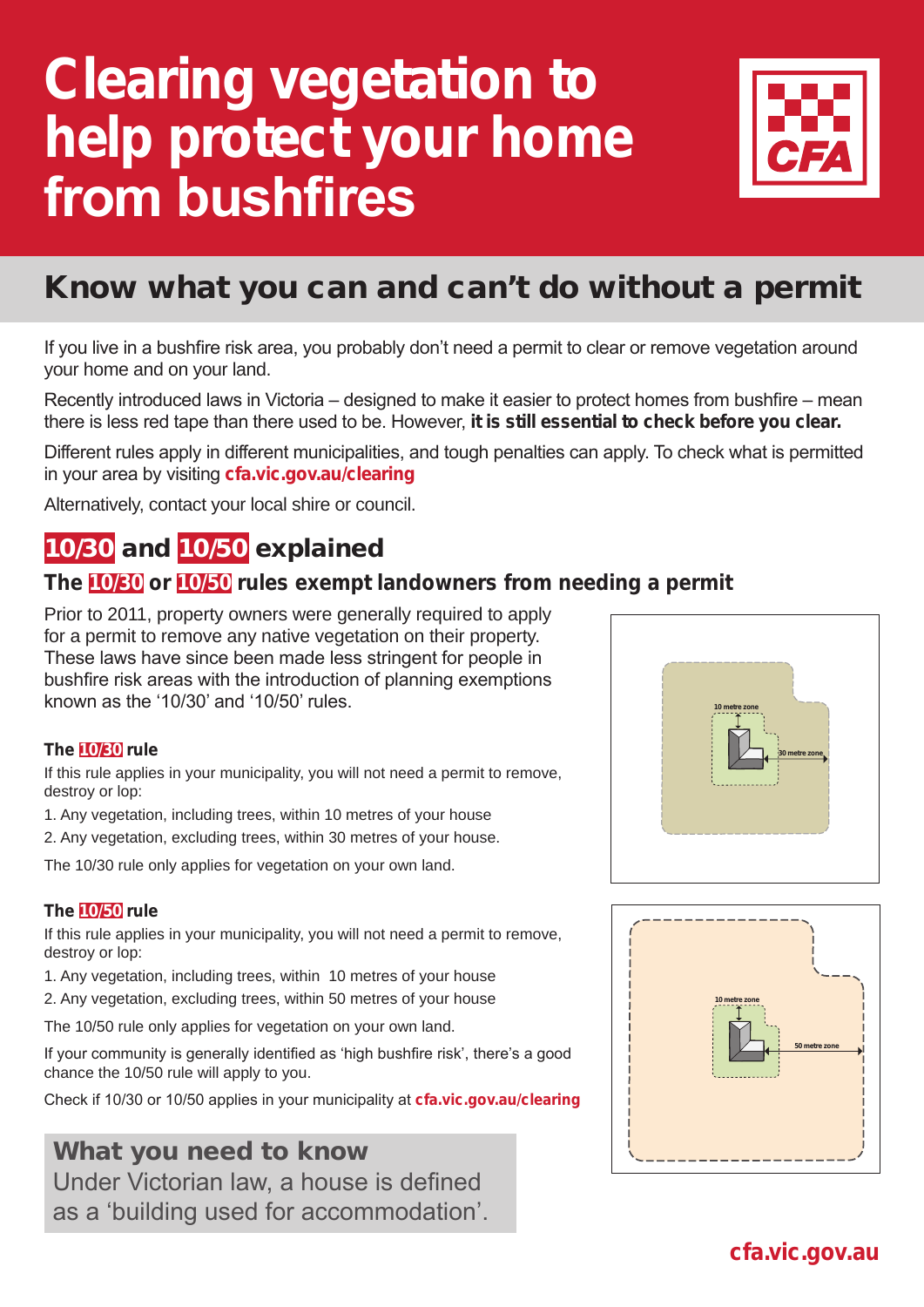# **Clearing vegetation to help protect your home from bushfires**



# Know what you can and can't do without a permit

If you live in a bushfire risk area, you probably don't need a permit to clear or remove vegetation around your home and on your land.

Recently introduced laws in Victoria – designed to make it easier to protect homes from bushfire – mean there is less red tape than there used to be. However, **it is still essential to check before you clear.** 

Different rules apply in different municipalities, and tough penalties can apply. To check what is permitted in your area by visiting **cfa.vic.gov.au/clearing**

Alternatively, contact your local shire or council.

## 10/30 and 10/50 explained

## **The 10/30 or 10/50 rules exempt landowners from needing a permit**

Prior to 2011, property owners were generally required to apply for a permit to remove any native vegetation on their property. These laws have since been made less stringent for people in bushfire risk areas with the introduction of planning exemptions known as the '10/30' and '10/50' rules.

### **The 10/30 rule**

If this rule applies in your municipality, you will not need a permit to remove, destroy or lop:

1. Any vegetation, including trees, within 10 metres of your house

2. Any vegetation, excluding trees, within 30 metres of your house.

The 10/30 rule only applies for vegetation on your own land.

### **The 10/50 rule**

If this rule applies in your municipality, you will not need a permit to remove, destroy or lop:

- 1. Any vegetation, including trees, within 10 metres of your house
- 2. Any vegetation, excluding trees, within 50 metres of your house

The 10/50 rule only applies for vegetation on your own land.

If your community is generally identified as 'high bushfire risk', there's a good chance the 10/50 rule will apply to you.

Check if 10/30 or 10/50 applies in your municipality at **cfa.vic.gov.au/clearing**

## What you need to know Under Victorian law, a house is defined as a 'building used for accommodation'.